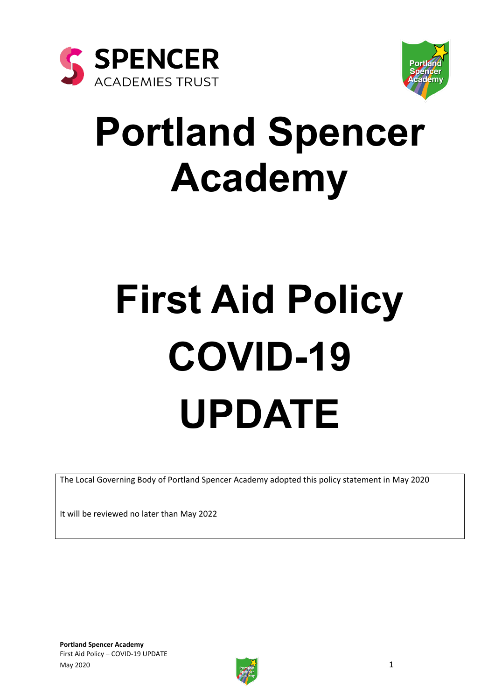



# **Portland Spencer Academy**

# **First Aid Policy COVID-19 UPDATE**

The Local Governing Body of Portland Spencer Academy adopted this policy statement in May 2020

It will be reviewed no later than May 2022

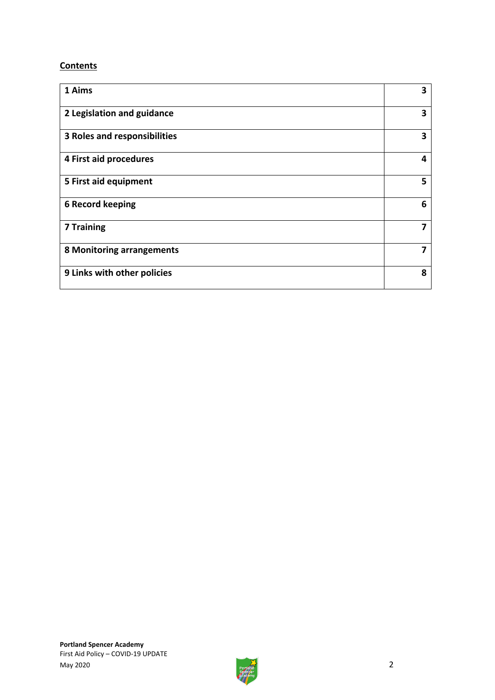#### **Contents**

| 1 Aims                       | 3 |
|------------------------------|---|
| 2 Legislation and guidance   | 3 |
| 3 Roles and responsibilities | 3 |
| 4 First aid procedures       | 4 |
| 5 First aid equipment        | 5 |
| <b>6 Record keeping</b>      | 6 |
| <b>7 Training</b>            | 7 |
| 8 Monitoring arrangements    | 7 |
| 9 Links with other policies  | 8 |

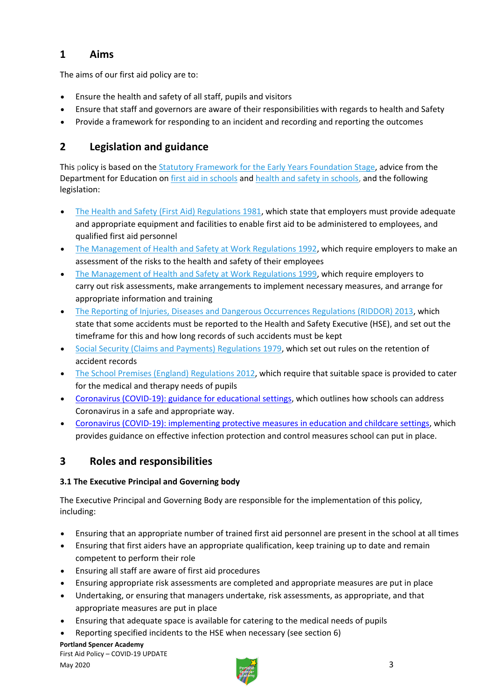# **1 Aims**

The aims of our first aid policy are to:

- Ensure the health and safety of all staff, pupils and visitors
- Ensure that staff and governors are aware of their responsibilities with regards to health and Safety
- Provide a framework for responding to an incident and recording and reporting the outcomes

# **2 Legislation and guidance**

This policy is based on the [Statutory Framework for the Early Years Foundation Stage,](https://www.gov.uk/government/uploads/system/uploads/attachment_data/file/596629/EYFS_STATUTORY_FRAMEWORK_2017.pdf) advice from the Department for Education on [first aid in schools](https://www.gov.uk/government/publications/first-aid-in-schools) and [health and safety in schools,](https://www.gov.uk/government/publications/health-and-safety-advice-for-schools) and the following legislation:

- [The Health and Safety \(First Aid\) Regulations 1981,](http://www.legislation.gov.uk/uksi/1981/917/regulation/3/made) which state that employers must provide adequate and appropriate equipment and facilities to enable first aid to be administered to employees, and qualified first aid personnel
- [The Management of Health and Safety at Work Regulations 1992,](http://www.legislation.gov.uk/uksi/1992/2051/regulation/3/made) which require employers to make an assessment of the risks to the health and safety of their employees
- [The Management of Health and Safety at Work Regulations 1999,](http://www.legislation.gov.uk/uksi/1999/3242/contents/made) which require employers to carry out risk assessments, make arrangements to implement necessary measures, and arrange for appropriate information and training
- [The Reporting of Injuries, Diseases and Dangerous Occurrences Regulations \(RIDDOR\) 2013,](http://www.legislation.gov.uk/uksi/2013/1471/schedule/1/paragraph/1/made) which state that some accidents must be reported to the Health and Safety Executive (HSE), and set out the timeframe for this and how long records of such accidents must be kept
- [Social Security \(Claims and Payments\) Regulations 1979,](http://www.legislation.gov.uk/uksi/1979/628) which set out rules on the retention of accident records
- [The School Premises \(England\) Regulations 2012,](http://www.legislation.gov.uk/uksi/2012/1943/regulation/5/made) which require that suitable space is provided to cater for the medical and therapy needs of pupils
- [Coronavirus \(COVID-19\): guidance for educational settings,](https://www.gov.uk/government/publications/guidance-to-educational-settings-about-covid-19/guidance-to-educational-settings-about-covid-19) which outlines how schools can address Coronavirus in a safe and appropriate way.
- [Coronavirus \(COVID-19\): implementing protective measures in education and childcare settings,](https://www.gov.uk/government/publications/coronavirus-covid-19-implementing-protective-measures-in-education-and-childcare-settings/coronavirus-covid-19-implementing-protective-measures-in-education-and-childcare-settings) which provides guidance on effective infection protection and control measures school can put in place.

# **3 Roles and responsibilities**

#### **3.1 The Executive Principal and Governing body**

The Executive Principal and Governing Body are responsible for the implementation of this policy, including:

- Ensuring that an appropriate number of trained first aid personnel are present in the school at all times
- Ensuring that first aiders have an appropriate qualification, keep training up to date and remain competent to perform their role
- Ensuring all staff are aware of first aid procedures
- Ensuring appropriate risk assessments are completed and appropriate measures are put in place
- Undertaking, or ensuring that managers undertake, risk assessments, as appropriate, and that appropriate measures are put in place
- Ensuring that adequate space is available for catering to the medical needs of pupils
- Reporting specified incidents to the HSE when necessary (see section 6)

#### **Portland Spencer Academy**

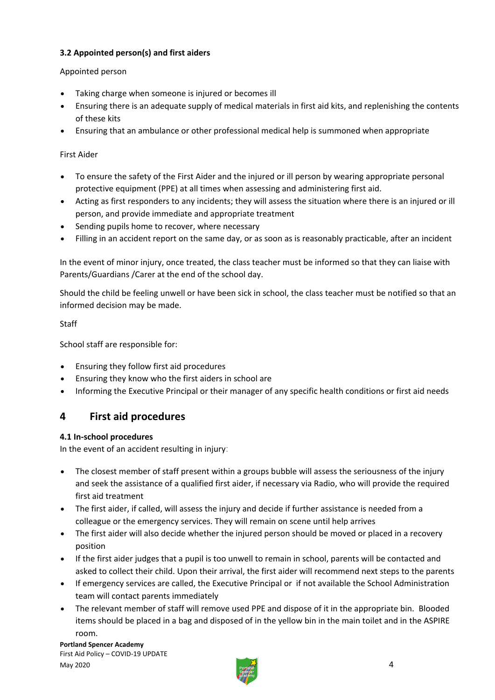#### **3.2 Appointed person(s) and first aiders**

#### Appointed person

- Taking charge when someone is injured or becomes ill
- Ensuring there is an adequate supply of medical materials in first aid kits, and replenishing the contents of these kits
- Ensuring that an ambulance or other professional medical help is summoned when appropriate

#### First Aider

- To ensure the safety of the First Aider and the injured or ill person by wearing appropriate personal protective equipment (PPE) at all times when assessing and administering first aid.
- Acting as first responders to any incidents; they will assess the situation where there is an injured or ill person, and provide immediate and appropriate treatment
- Sending pupils home to recover, where necessary
- Filling in an accident report on the same day, or as soon as is reasonably practicable, after an incident

In the event of minor injury, once treated, the class teacher must be informed so that they can liaise with Parents/Guardians /Carer at the end of the school day.

Should the child be feeling unwell or have been sick in school, the class teacher must be notified so that an informed decision may be made.

Staff

School staff are responsible for:

- Ensuring they follow first aid procedures
- Ensuring they know who the first aiders in school are
- Informing the Executive Principal or their manager of any specific health conditions or first aid needs

# **4 First aid procedures**

#### **4.1 In-school procedures**

In the event of an accident resulting in injury:

- The closest member of staff present within a groups bubble will assess the seriousness of the injury and seek the assistance of a qualified first aider, if necessary via Radio, who will provide the required first aid treatment
- The first aider, if called, will assess the injury and decide if further assistance is needed from a colleague or the emergency services. They will remain on scene until help arrives
- The first aider will also decide whether the injured person should be moved or placed in a recovery position
- If the first aider judges that a pupil is too unwell to remain in school, parents will be contacted and asked to collect their child. Upon their arrival, the first aider will recommend next steps to the parents
- If emergency services are called, the Executive Principal or if not available the School Administration team will contact parents immediately
- The relevant member of staff will remove used PPE and dispose of it in the appropriate bin. Blooded items should be placed in a bag and disposed of in the yellow bin in the main toilet and in the ASPIRE room.

**Portland Spencer Academy**  First Aid Policy – COVID-19 UPDATE May 2020  $\overrightarrow{a}$  and  $\overrightarrow{a}$  and  $\overrightarrow{a}$  and  $\overrightarrow{a}$  and  $\overrightarrow{a}$  and  $\overrightarrow{a}$  and  $\overrightarrow{a}$  and  $\overrightarrow{a}$  and  $\overrightarrow{a}$  and  $\overrightarrow{a}$  and  $\overrightarrow{a}$  and  $\overrightarrow{a}$  and  $\overrightarrow{a}$  and  $\overrightarrow{a}$  and  $\overrightarrow{a}$  and  $\overrightarrow{a}$  and  $\overrightarrow$ 

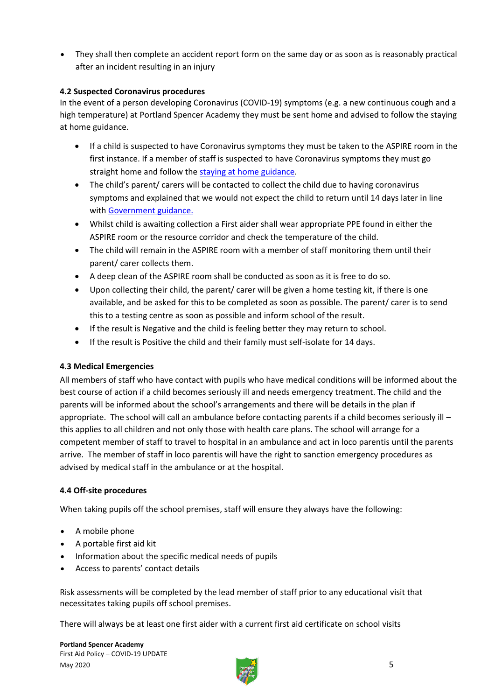They shall then complete an accident report form on the same day or as soon as is reasonably practical after an incident resulting in an injury

#### **4.2 Suspected Coronavirus procedures**

In the event of a person developing Coronavirus (COVID-19) symptoms (e.g. a new continuous cough and a high temperature) at Portland Spencer Academy they must be sent home and advised to follow the staying at home guidance.

- If a child is suspected to have Coronavirus symptoms they must be taken to the ASPIRE room in the first instance. If a member of staff is suspected to have Coronavirus symptoms they must go straight home and follow the [staying at home guidance.](https://www.gov.uk/government/publications/covid-19-stay-at-home-guidance)
- The child's parent/ carers will be contacted to collect the child due to having coronavirus symptoms and explained that we would not expect the child to return until 14 days later in line with [Government guidance.](https://www.gov.uk/government/publications/coronavirus-covid-19-implementing-protective-measures-in-education-and-childcare-settings/coronavirus-covid-19-implementing-protective-measures-in-education-and-childcare-settings)
- Whilst child is awaiting collection a First aider shall wear appropriate PPE found in either the ASPIRE room or the resource corridor and check the temperature of the child.
- The child will remain in the ASPIRE room with a member of staff monitoring them until their parent/ carer collects them.
- A deep clean of the ASPIRE room shall be conducted as soon as it is free to do so.
- Upon collecting their child, the parent/ carer will be given a home testing kit, if there is one available, and be asked for this to be completed as soon as possible. The parent/ carer is to send this to a testing centre as soon as possible and inform school of the result.
- If the result is Negative and the child is feeling better they may return to school.
- If the result is Positive the child and their family must self-isolate for 14 days.

#### **4.3 Medical Emergencies**

All members of staff who have contact with pupils who have medical conditions will be informed about the best course of action if a child becomes seriously ill and needs emergency treatment. The child and the parents will be informed about the school's arrangements and there will be details in the plan if appropriate. The school will call an ambulance before contacting parents if a child becomes seriously ill – this applies to all children and not only those with health care plans. The school will arrange for a competent member of staff to travel to hospital in an ambulance and act in loco parentis until the parents arrive. The member of staff in loco parentis will have the right to sanction emergency procedures as advised by medical staff in the ambulance or at the hospital.

#### **4.4 Off-site procedures**

When taking pupils off the school premises, staff will ensure they always have the following:

- A mobile phone
- A portable first aid kit
- Information about the specific medical needs of pupils
- Access to parents' contact details

Risk assessments will be completed by the lead member of staff prior to any educational visit that necessitates taking pupils off school premises.

There will always be at least one first aider with a current first aid certificate on school visits

**Portland Spencer Academy**  First Aid Policy – COVID-19 UPDATE May 2020  $\sim$  5

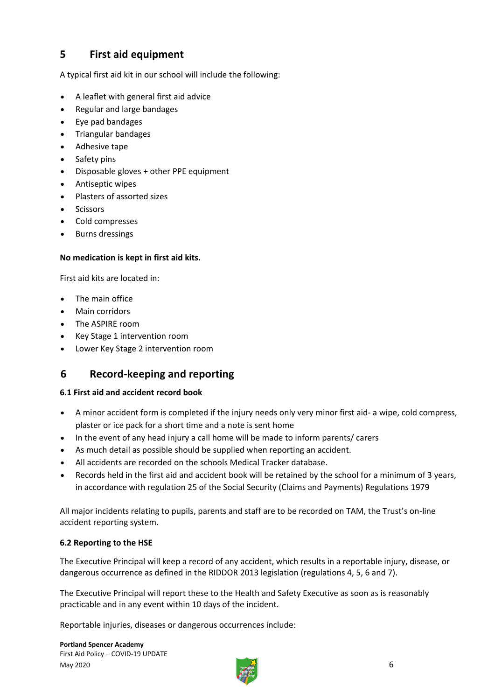# **5 First aid equipment**

A typical first aid kit in our school will include the following:

- A leaflet with general first aid advice
- Regular and large bandages
- Eye pad bandages
- Triangular bandages
- Adhesive tape
- Safety pins
- Disposable gloves + other PPE equipment
- Antiseptic wipes
- Plasters of assorted sizes
- **Scissors**
- Cold compresses
- Burns dressings

#### **No medication is kept in first aid kits.**

First aid kits are located in:

- The main office
- Main corridors
- The ASPIRE room
- Key Stage 1 intervention room
- Lower Key Stage 2 intervention room

# **6 Record-keeping and reporting**

#### **6.1 First aid and accident record book**

- A minor accident form is completed if the injury needs only very minor first aid- a wipe, cold compress, plaster or ice pack for a short time and a note is sent home
- In the event of any head injury a call home will be made to inform parents/ carers
- As much detail as possible should be supplied when reporting an accident.
- All accidents are recorded on the schools Medical Tracker database.
- Records held in the first aid and accident book will be retained by the school for a minimum of 3 years, in accordance with regulation 25 of the Social Security (Claims and Payments) Regulations 1979

All major incidents relating to pupils, parents and staff are to be recorded on TAM, the Trust's on-line accident reporting system.

#### **6.2 Reporting to the HSE**

The Executive Principal will keep a record of any accident, which results in a reportable injury, disease, or dangerous occurrence as defined in the RIDDOR 2013 legislation (regulations 4, 5, 6 and 7).

The Executive Principal will report these to the Health and Safety Executive as soon as is reasonably practicable and in any event within 10 days of the incident.

Reportable injuries, diseases or dangerous occurrences include:

**Portland Spencer Academy**  First Aid Policy – COVID-19 UPDATE May 2020  $\qquad \qquad 6$ 

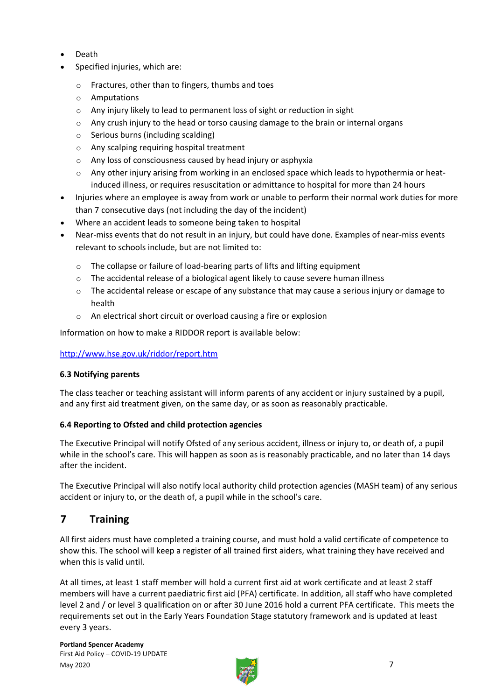- Death
- Specified injuries, which are:
	- o Fractures, other than to fingers, thumbs and toes
	- o Amputations
	- o Any injury likely to lead to permanent loss of sight or reduction in sight
	- $\circ$  Any crush injury to the head or torso causing damage to the brain or internal organs
	- o Serious burns (including scalding)
	- o Any scalping requiring hospital treatment
	- o Any loss of consciousness caused by head injury or asphyxia
	- o Any other injury arising from working in an enclosed space which leads to hypothermia or heatinduced illness, or requires resuscitation or admittance to hospital for more than 24 hours
- Injuries where an employee is away from work or unable to perform their normal work duties for more than 7 consecutive days (not including the day of the incident)
- Where an accident leads to someone being taken to hospital
- Near-miss events that do not result in an injury, but could have done. Examples of near-miss events relevant to schools include, but are not limited to:
	- o The collapse or failure of load-bearing parts of lifts and lifting equipment
	- o The accidental release of a biological agent likely to cause severe human illness
	- $\circ$  The accidental release or escape of any substance that may cause a serious injury or damage to health
	- o An electrical short circuit or overload causing a fire or explosion

Information on how to make a RIDDOR report is available below:

#### <http://www.hse.gov.uk/riddor/report.htm>

#### **6.3 Notifying parents**

The class teacher or teaching assistant will inform parents of any accident or injury sustained by a pupil, and any first aid treatment given, on the same day, or as soon as reasonably practicable.

#### **6.4 Reporting to Ofsted and child protection agencies**

The Executive Principal will notify Ofsted of any serious accident, illness or injury to, or death of, a pupil while in the school's care. This will happen as soon as is reasonably practicable, and no later than 14 days after the incident.

The Executive Principal will also notify local authority child protection agencies (MASH team) of any serious accident or injury to, or the death of, a pupil while in the school's care.

# **7 Training**

All first aiders must have completed a training course, and must hold a valid certificate of competence to show this. The school will keep a register of all trained first aiders, what training they have received and when this is valid until.

At all times, at least 1 staff member will hold a current first aid at work certificate and at least 2 staff members will have a current paediatric first aid (PFA) certificate. In addition, all staff who have completed level 2 and / or level 3 qualification on or after 30 June 2016 hold a current PFA certificate. This meets the requirements set out in the Early Years Foundation Stage statutory framework and is updated at least every 3 years.

**Portland Spencer Academy**  First Aid Policy – COVID-19 UPDATE May 2020  $\overline{7}$